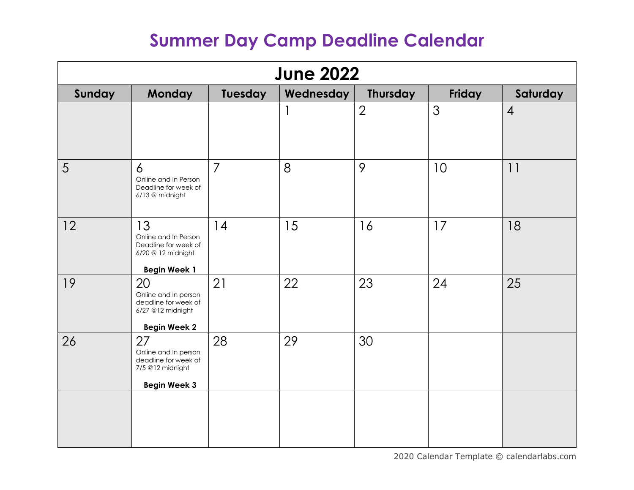| <b>June 2022</b> |                                                                                                 |                |           |                |        |                |
|------------------|-------------------------------------------------------------------------------------------------|----------------|-----------|----------------|--------|----------------|
| Sunday           | <b>Monday</b>                                                                                   | Tuesday        | Wednesday | Thursday       | Friday | Saturday       |
|                  |                                                                                                 |                |           | $\overline{2}$ | 3      | $\overline{4}$ |
| 5                | 6<br>Online and In Person<br>Deadline for week of<br>6/13 @ midnight                            | $\overline{7}$ | 8         | 9              | 10     | 11             |
| 12               | 13<br>Online and In Person<br>Deadline for week of<br>6/20 @ 12 midnight<br><b>Begin Week 1</b> | 14             | 15        | 16             | 17     | 18             |
| 19               | 20<br>Online and In person<br>deadline for week of<br>6/27 @12 midnight<br><b>Begin Week 2</b>  | 21             | 22        | 23             | 24     | 25             |
| 26               | 27<br>Online and In person<br>deadline for week of<br>7/5 @12 midnight<br><b>Begin Week 3</b>   | 28             | 29        | 30             |        |                |
|                  |                                                                                                 |                |           |                |        |                |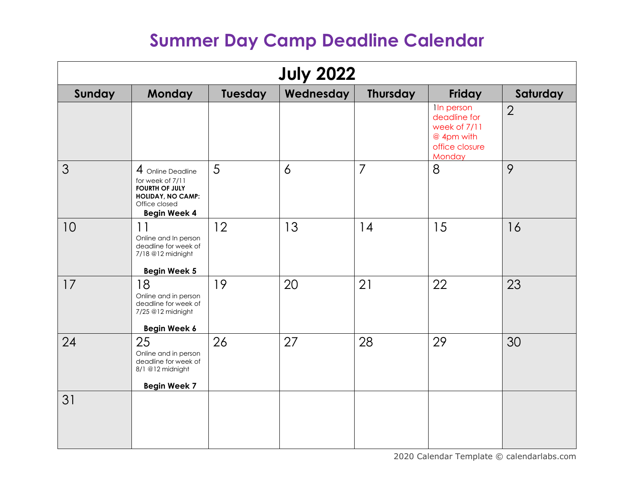| <b>July 2022</b> |                                                                                                                                    |         |                |                 |                                                                                            |                |  |
|------------------|------------------------------------------------------------------------------------------------------------------------------------|---------|----------------|-----------------|--------------------------------------------------------------------------------------------|----------------|--|
| Sunday           | <b>Monday</b>                                                                                                                      | Tuesday | Wednesday      | <b>Thursday</b> | Friday                                                                                     | Saturday       |  |
|                  |                                                                                                                                    |         |                |                 | <b>In person</b><br>deadline for<br>week of 7/11<br>@ 4pm with<br>office closure<br>Monday | $\overline{2}$ |  |
| 3                | 4 Online Deadline<br>for week of 7/11<br><b>FOURTH OF JULY</b><br><b>HOLIDAY, NO CAMP:</b><br>Office closed<br><b>Begin Week 4</b> | 5       | $\overline{6}$ | $\overline{7}$  | 8                                                                                          | 9              |  |
| 10               | 11<br>Online and In person<br>deadline for week of<br>7/18 @12 midnight<br><b>Begin Week 5</b>                                     | 12      | 13             | 14              | 15                                                                                         | 16             |  |
| 17               | 18<br>Online and in person<br>deadline for week of<br>7/25 @12 midnight<br>Begin Week 6                                            | 19      | 20             | 21              | 22                                                                                         | 23             |  |
| 24               | 25<br>Online and in person<br>deadline for week of<br>8/1 @12 midnight<br><b>Begin Week 7</b>                                      | 26      | 27             | 28              | 29                                                                                         | 30             |  |
| 31               |                                                                                                                                    |         |                |                 |                                                                                            |                |  |